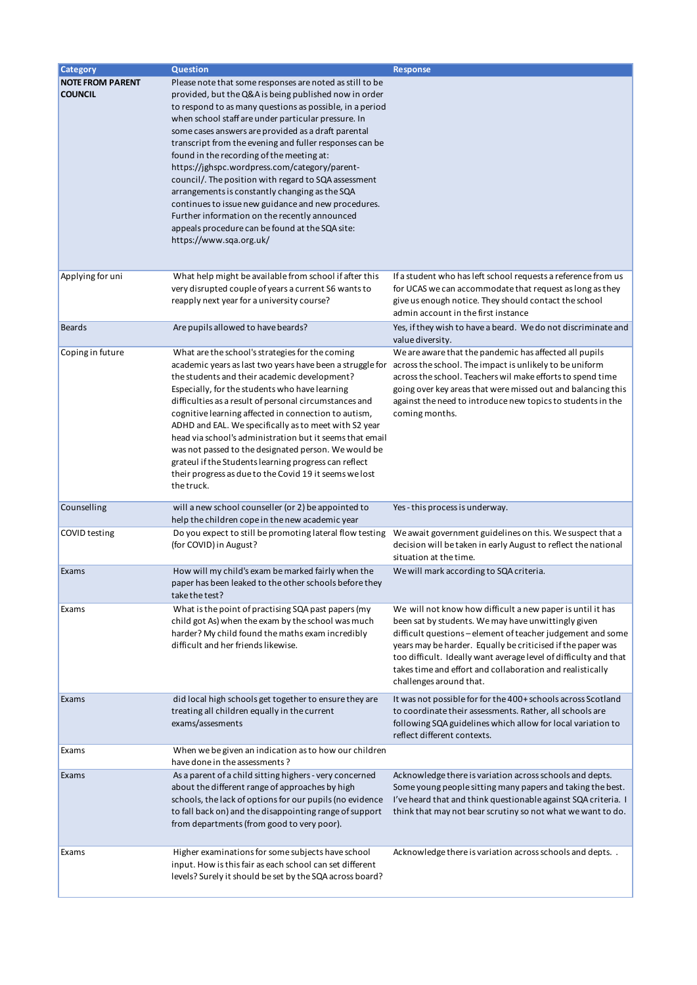| <b>Category</b>                           | <b>Question</b>                                                                                                                                                                                                                                                                                                                                                                                                                                                                                                                                                                                                                                                                                                                                      | Response                                                                                                                                                                                                                                                                                                                                                                                                    |
|-------------------------------------------|------------------------------------------------------------------------------------------------------------------------------------------------------------------------------------------------------------------------------------------------------------------------------------------------------------------------------------------------------------------------------------------------------------------------------------------------------------------------------------------------------------------------------------------------------------------------------------------------------------------------------------------------------------------------------------------------------------------------------------------------------|-------------------------------------------------------------------------------------------------------------------------------------------------------------------------------------------------------------------------------------------------------------------------------------------------------------------------------------------------------------------------------------------------------------|
| <b>NOTE FROM PARENT</b><br><b>COUNCIL</b> | Please note that some responses are noted as still to be<br>provided, but the Q&A is being published now in order<br>to respond to as many questions as possible, in a period<br>when school staff are under particular pressure. In<br>some cases answers are provided as a draft parental<br>transcript from the evening and fuller responses can be<br>found in the recording of the meeting at:<br>https://jghspc.wordpress.com/category/parent-<br>council/. The position with regard to SQA assessment<br>arrangements is constantly changing as the SQA<br>continues to issue new guidance and new procedures.<br>Further information on the recently announced<br>appeals procedure can be found at the SQA site:<br>https://www.sqa.org.uk/ |                                                                                                                                                                                                                                                                                                                                                                                                             |
| Applying for uni                          | What help might be available from school if after this<br>very disrupted couple of years a current S6 wants to<br>reapply next year for a university course?                                                                                                                                                                                                                                                                                                                                                                                                                                                                                                                                                                                         | If a student who has left school requests a reference from us<br>for UCAS we can accommodate that request as long as they<br>give us enough notice. They should contact the school<br>admin account in the first instance                                                                                                                                                                                   |
| <b>Beards</b>                             | Are pupils allowed to have beards?                                                                                                                                                                                                                                                                                                                                                                                                                                                                                                                                                                                                                                                                                                                   | Yes, if they wish to have a beard. We do not discriminate and<br>value diversity.                                                                                                                                                                                                                                                                                                                           |
| Coping in future                          | What are the school's strategies for the coming<br>academic years as last two years have been a struggle for<br>the students and their academic development?<br>Especially, for the students who have learning<br>difficulties as a result of personal circumstances and<br>cognitive learning affected in connection to autism,<br>ADHD and EAL. We specifically as to meet with S2 year<br>head via school's administration but it seems that email<br>was not passed to the designated person. We would be<br>grateul if the Students learning progress can reflect<br>their progress as due to the Covid 19 it seems we lost<br>the truck.                                                                                                       | We are aware that the pandemic has affected all pupils<br>across the school. The impact is unlikely to be uniform<br>across the school. Teachers wil make efforts to spend time<br>going over key areas that were missed out and balancing this<br>against the need to introduce new topics to students in the<br>coming months.                                                                            |
| Counselling                               | will a new school counseller (or 2) be appointed to<br>help the children cope in the new academic year                                                                                                                                                                                                                                                                                                                                                                                                                                                                                                                                                                                                                                               | Yes - this process is underway.                                                                                                                                                                                                                                                                                                                                                                             |
| COVID testing                             | Do you expect to still be promoting lateral flow testing<br>(for COVID) in August?                                                                                                                                                                                                                                                                                                                                                                                                                                                                                                                                                                                                                                                                   | We await government guidelines on this. We suspect that a<br>decision will be taken in early August to reflect the national<br>situation at the time.                                                                                                                                                                                                                                                       |
| Exams                                     | How will my child's exam be marked fairly when the<br>paper has been leaked to the other schools before they<br>take the test?                                                                                                                                                                                                                                                                                                                                                                                                                                                                                                                                                                                                                       | We will mark according to SQA criteria.                                                                                                                                                                                                                                                                                                                                                                     |
| Exams                                     | What is the point of practising SQA past papers (my<br>child got As) when the exam by the school was much<br>harder? My child found the maths exam incredibly<br>difficult and her friends likewise.                                                                                                                                                                                                                                                                                                                                                                                                                                                                                                                                                 | We will not know how difficult a new paper is until it has<br>been sat by students. We may have unwittingly given<br>difficult questions - element of teacher judgement and some<br>years may be harder. Equally be criticised if the paper was<br>too difficult. Ideally want average level of difficulty and that<br>takes time and effort and collaboration and realistically<br>challenges around that. |
| Exams                                     | did local high schools get together to ensure they are<br>treating all children equally in the current<br>exams/assesments                                                                                                                                                                                                                                                                                                                                                                                                                                                                                                                                                                                                                           | It was not possible for for the 400+ schools across Scotland<br>to coordinate their assessments. Rather, all schools are<br>following SQA guidelines which allow for local variation to<br>reflect different contexts.                                                                                                                                                                                      |
| Exams                                     | When we be given an indication as to how our children<br>have done in the assessments?                                                                                                                                                                                                                                                                                                                                                                                                                                                                                                                                                                                                                                                               |                                                                                                                                                                                                                                                                                                                                                                                                             |
| Exams                                     | As a parent of a child sitting highers - very concerned<br>about the different range of approaches by high<br>schools, the lack of options for our pupils (no evidence<br>to fall back on) and the disappointing range of support<br>from departments (from good to very poor).                                                                                                                                                                                                                                                                                                                                                                                                                                                                      | Acknowledge there is variation across schools and depts.<br>Some young people sitting many papers and taking the best.<br>I've heard that and think questionable against SQA criteria. I<br>think that may not bear scrutiny so not what we want to do.                                                                                                                                                     |
| Exams                                     | Higher examinations for some subjects have school<br>input. How is this fair as each school can set different<br>levels? Surely it should be set by the SQA across board?                                                                                                                                                                                                                                                                                                                                                                                                                                                                                                                                                                            | Acknowledge there is variation across schools and depts                                                                                                                                                                                                                                                                                                                                                     |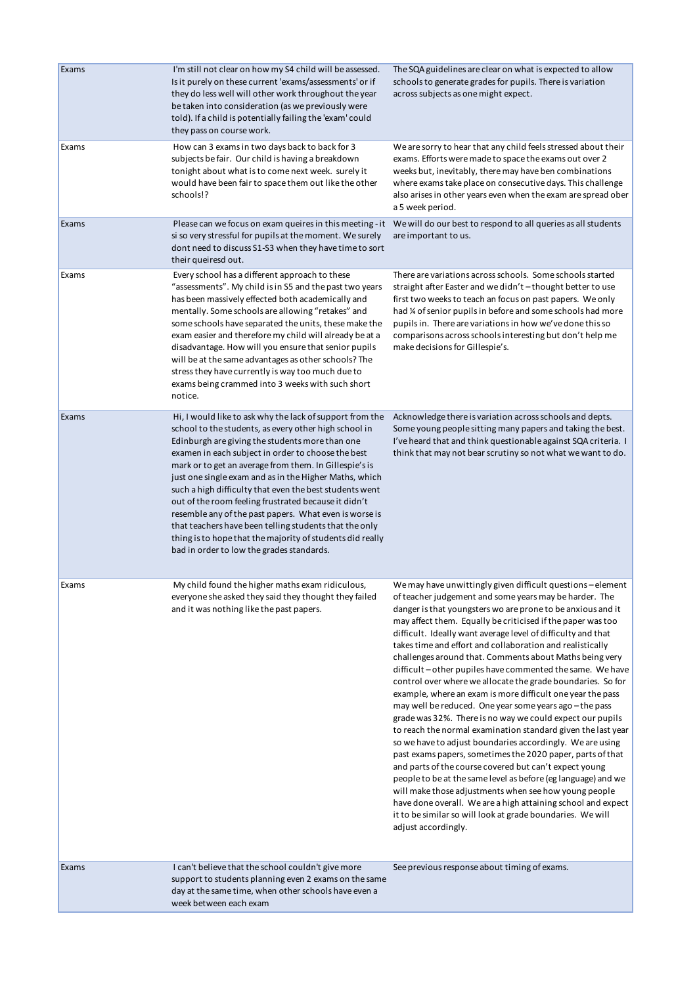| Exams | I'm still not clear on how my S4 child will be assessed.<br>Is it purely on these current 'exams/assessments' or if<br>they do less well will other work throughout the year<br>be taken into consideration (as we previously were<br>told). If a child is potentially failing the 'exam' could<br>they pass on course work.                                                                                                                                                                                                                                                                                                                                                                    | The SQA guidelines are clear on what is expected to allow<br>schools to generate grades for pupils. There is variation<br>across subjects as one might expect.                                                                                                                                                                                                                                                                                                                                                                                                                                                                                                                                                                                                                                                                                                                                                                                                                                                                                                                                                                                                                                                                                                                                     |
|-------|-------------------------------------------------------------------------------------------------------------------------------------------------------------------------------------------------------------------------------------------------------------------------------------------------------------------------------------------------------------------------------------------------------------------------------------------------------------------------------------------------------------------------------------------------------------------------------------------------------------------------------------------------------------------------------------------------|----------------------------------------------------------------------------------------------------------------------------------------------------------------------------------------------------------------------------------------------------------------------------------------------------------------------------------------------------------------------------------------------------------------------------------------------------------------------------------------------------------------------------------------------------------------------------------------------------------------------------------------------------------------------------------------------------------------------------------------------------------------------------------------------------------------------------------------------------------------------------------------------------------------------------------------------------------------------------------------------------------------------------------------------------------------------------------------------------------------------------------------------------------------------------------------------------------------------------------------------------------------------------------------------------|
| Exams | How can 3 exams in two days back to back for 3<br>subjects be fair. Our child is having a breakdown<br>tonight about what is to come next week. surely it<br>would have been fair to space them out like the other<br>schools!?                                                                                                                                                                                                                                                                                                                                                                                                                                                                 | We are sorry to hear that any child feels stressed about their<br>exams. Efforts were made to space the exams out over 2<br>weeks but, inevitably, there may have ben combinations<br>where exams take place on consecutive days. This challenge<br>also arises in other years even when the exam are spread ober<br>a 5 week period.                                                                                                                                                                                                                                                                                                                                                                                                                                                                                                                                                                                                                                                                                                                                                                                                                                                                                                                                                              |
| Exams | si so very stressful for pupils at the moment. We surely<br>dont need to discuss S1-S3 when they have time to sort<br>their queiresd out.                                                                                                                                                                                                                                                                                                                                                                                                                                                                                                                                                       | Please can we focus on exam queires in this meeting - it We will do our best to respond to all queries as all students<br>are important to us.                                                                                                                                                                                                                                                                                                                                                                                                                                                                                                                                                                                                                                                                                                                                                                                                                                                                                                                                                                                                                                                                                                                                                     |
| Exams | Every school has a different approach to these<br>"assessments". My child is in S5 and the past two years<br>has been massively effected both academically and<br>mentally. Some schools are allowing "retakes" and<br>some schools have separated the units, these make the<br>exam easier and therefore my child will already be at a<br>disadvantage. How will you ensure that senior pupils<br>will be at the same advantages as other schools? The<br>stress they have currently is way too much due to<br>exams being crammed into 3 weeks with such short<br>notice.                                                                                                                     | There are variations across schools. Some schools started<br>straight after Easter and we didn't-thought better to use<br>first two weeks to teach an focus on past papers. We only<br>had % of senior pupils in before and some schools had more<br>pupils in. There are variations in how we've done this so<br>comparisons across schools interesting but don't help me<br>make decisions for Gillespie's.                                                                                                                                                                                                                                                                                                                                                                                                                                                                                                                                                                                                                                                                                                                                                                                                                                                                                      |
| Exams | Hi, I would like to ask why the lack of support from the<br>school to the students, as every other high school in<br>Edinburgh are giving the students more than one<br>examen in each subject in order to choose the best<br>mark or to get an average from them. In Gillespie's is<br>just one single exam and as in the Higher Maths, which<br>such a high difficulty that even the best students went<br>out of the room feeling frustrated because it didn't<br>resemble any of the past papers. What even is worse is<br>that teachers have been telling students that the only<br>thing is to hope that the majority of students did really<br>bad in order to low the grades standards. | Acknowledge there is variation across schools and depts.<br>Some young people sitting many papers and taking the best.<br>I've heard that and think questionable against SQA criteria. I<br>think that may not bear scrutiny so not what we want to do.                                                                                                                                                                                                                                                                                                                                                                                                                                                                                                                                                                                                                                                                                                                                                                                                                                                                                                                                                                                                                                            |
| Exams | My child found the higher maths exam ridiculous<br>everyone she asked they said they thought they failed<br>and it was nothing like the past papers.                                                                                                                                                                                                                                                                                                                                                                                                                                                                                                                                            | We may have unwittingly given difficult questions - element<br>of teacher judgement and some years may be harder. The<br>danger is that youngsters wo are prone to be anxious and it<br>may affect them. Equally be criticised if the paper was too<br>difficult. Ideally want average level of difficulty and that<br>takes time and effort and collaboration and realistically<br>challenges around that. Comments about Maths being very<br>difficult – other pupiles have commented the same. We have<br>control over where we allocate the grade boundaries. So for<br>example, where an exam is more difficult one year the pass<br>may well be reduced. One year some years ago - the pass<br>grade was 32%. There is no way we could expect our pupils<br>to reach the normal examination standard given the last year<br>so we have to adjust boundaries accordingly. We are using<br>past exams papers, sometimes the 2020 paper, parts of that<br>and parts of the course covered but can't expect young<br>people to be at the same level as before (eg language) and we<br>will make those adjustments when see how young people<br>have done overall. We are a high attaining school and expect<br>it to be similar so will look at grade boundaries. We will<br>adjust accordingly. |
| Exams | I can't believe that the school couldn't give more<br>support to students planning even 2 exams on the same<br>day at the same time, when other schools have even a<br>week between each exam                                                                                                                                                                                                                                                                                                                                                                                                                                                                                                   | See previous response about timing of exams.                                                                                                                                                                                                                                                                                                                                                                                                                                                                                                                                                                                                                                                                                                                                                                                                                                                                                                                                                                                                                                                                                                                                                                                                                                                       |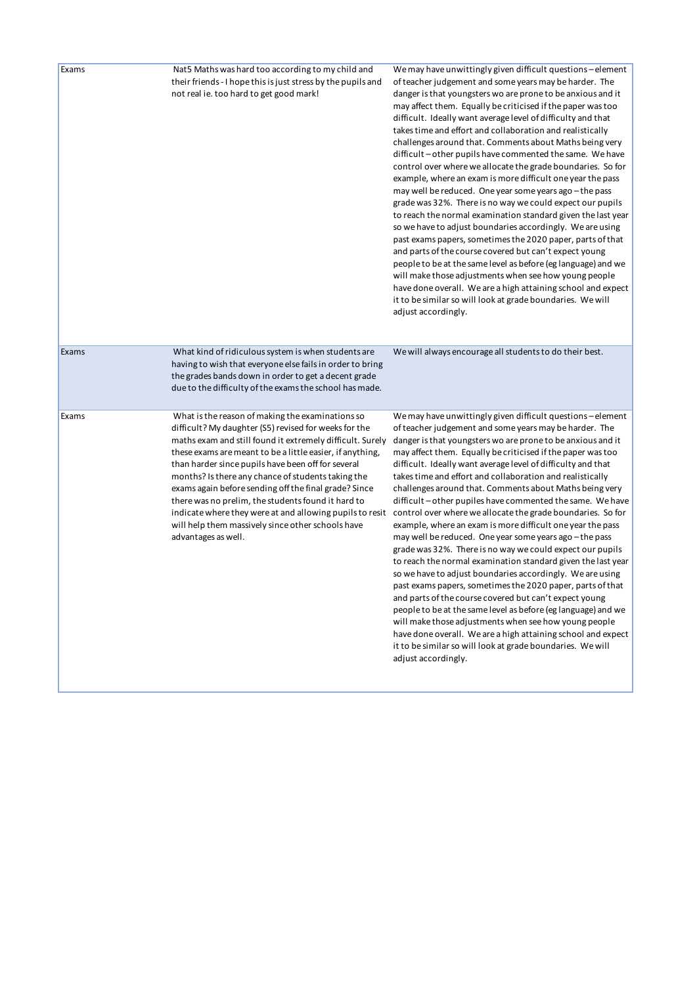| Exams | Nat5 Maths was hard too according to my child and<br>their friends - I hope this is just stress by the pupils and<br>not real ie. too hard to get good mark!                                                                                                                                                                                                                                                                                                                                                                                                                                           | We may have unwittingly given difficult questions - element<br>of teacher judgement and some years may be harder. The<br>danger is that youngsters wo are prone to be anxious and it<br>may affect them. Equally be criticised if the paper was too<br>difficult. Ideally want average level of difficulty and that<br>takes time and effort and collaboration and realistically<br>challenges around that. Comments about Maths being very<br>difficult – other pupils have commented the same. We have<br>control over where we allocate the grade boundaries. So for<br>example, where an exam is more difficult one year the pass<br>may well be reduced. One year some years ago - the pass<br>grade was 32%. There is no way we could expect our pupils<br>to reach the normal examination standard given the last year<br>so we have to adjust boundaries accordingly. We are using<br>past exams papers, sometimes the 2020 paper, parts of that<br>and parts of the course covered but can't expect young<br>people to be at the same level as before (eg language) and we<br>will make those adjustments when see how young people<br>have done overall. We are a high attaining school and expect<br>it to be similar so will look at grade boundaries. We will<br>adjust accordingly.  |
|-------|--------------------------------------------------------------------------------------------------------------------------------------------------------------------------------------------------------------------------------------------------------------------------------------------------------------------------------------------------------------------------------------------------------------------------------------------------------------------------------------------------------------------------------------------------------------------------------------------------------|----------------------------------------------------------------------------------------------------------------------------------------------------------------------------------------------------------------------------------------------------------------------------------------------------------------------------------------------------------------------------------------------------------------------------------------------------------------------------------------------------------------------------------------------------------------------------------------------------------------------------------------------------------------------------------------------------------------------------------------------------------------------------------------------------------------------------------------------------------------------------------------------------------------------------------------------------------------------------------------------------------------------------------------------------------------------------------------------------------------------------------------------------------------------------------------------------------------------------------------------------------------------------------------------------|
| Exams | What kind of ridiculous system is when students are<br>having to wish that everyone else fails in order to bring<br>the grades bands down in order to get a decent grade<br>due to the difficulty of the exams the school has made.                                                                                                                                                                                                                                                                                                                                                                    | We will always encourage all students to do their best.                                                                                                                                                                                                                                                                                                                                                                                                                                                                                                                                                                                                                                                                                                                                                                                                                                                                                                                                                                                                                                                                                                                                                                                                                                            |
| Exams | What is the reason of making the examinations so<br>difficult? My daughter (S5) revised for weeks for the<br>maths exam and still found it extremely difficult. Surely<br>these exams are meant to be a little easier, if anything,<br>than harder since pupils have been off for several<br>months? Is there any chance of students taking the<br>exams again before sending off the final grade? Since<br>there was no prelim, the students found it hard to<br>indicate where they were at and allowing pupils to resit<br>will help them massively since other schools have<br>advantages as well. | We may have unwittingly given difficult questions - element<br>of teacher judgement and some years may be harder. The<br>danger is that youngsters wo are prone to be anxious and it<br>may affect them. Equally be criticised if the paper was too<br>difficult. Ideally want average level of difficulty and that<br>takes time and effort and collaboration and realistically<br>challenges around that. Comments about Maths being very<br>difficult – other pupiles have commented the same. We have<br>control over where we allocate the grade boundaries. So for<br>example, where an exam is more difficult one year the pass<br>may well be reduced. One year some years ago - the pass<br>grade was 32%. There is no way we could expect our pupils<br>to reach the normal examination standard given the last year<br>so we have to adjust boundaries accordingly. We are using<br>past exams papers, sometimes the 2020 paper, parts of that<br>and parts of the course covered but can't expect young<br>people to be at the same level as before (eg language) and we<br>will make those adjustments when see how young people<br>have done overall. We are a high attaining school and expect<br>it to be similar so will look at grade boundaries. We will<br>adjust accordingly. |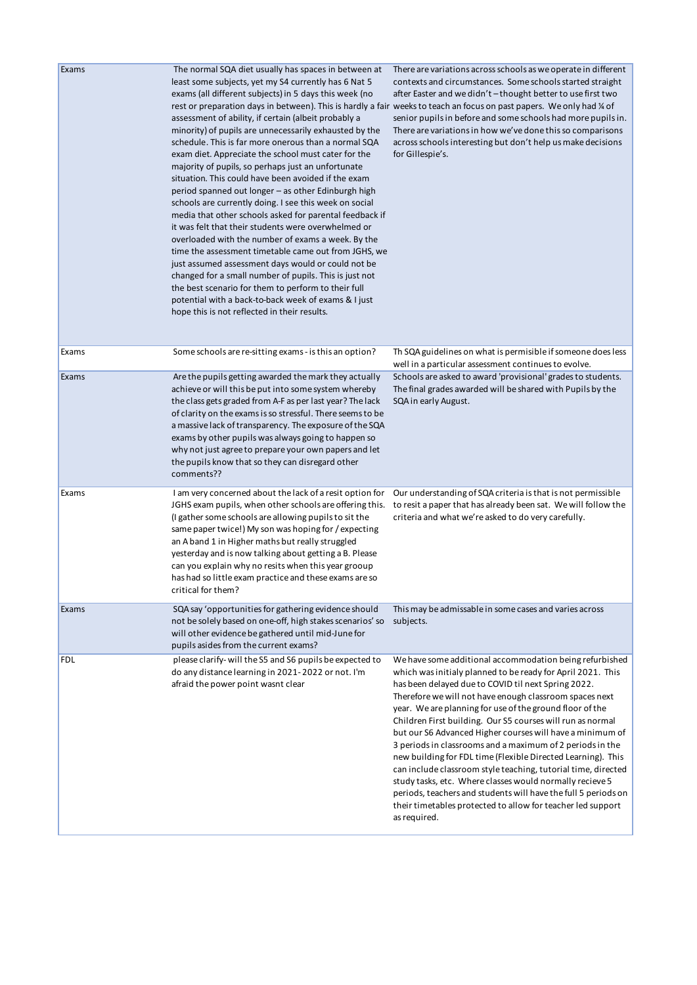| Exams      | The normal SQA diet usually has spaces in between at<br>least some subjects, yet my S4 currently has 6 Nat 5<br>exams (all different subjects) in 5 days this week (no<br>assessment of ability, if certain (albeit probably a<br>minority) of pupils are unnecessarily exhausted by the<br>schedule. This is far more onerous than a normal SQA<br>exam diet. Appreciate the school must cater for the<br>majority of pupils, so perhaps just an unfortunate<br>situation. This could have been avoided if the exam<br>period spanned out longer – as other Edinburgh high<br>schools are currently doing. I see this week on social<br>media that other schools asked for parental feedback if<br>it was felt that their students were overwhelmed or<br>overloaded with the number of exams a week. By the<br>time the assessment timetable came out from JGHS, we<br>just assumed assessment days would or could not be<br>changed for a small number of pupils. This is just not<br>the best scenario for them to perform to their full<br>potential with a back-to-back week of exams & I just<br>hope this is not reflected in their results. | There are variations across schools as we operate in different<br>contexts and circumstances. Some schools started straight<br>after Easter and we didn't-thought better to use first two<br>rest or preparation days in between). This is hardly a fair weeks to teach an focus on past papers. We only had ¼ of<br>senior pupils in before and some schools had more pupils in.<br>There are variations in how we've done this so comparisons<br>across schools interesting but don't help us make decisions<br>for Gillespie's.                                                                                                                                                                                                                                                                                                         |
|------------|------------------------------------------------------------------------------------------------------------------------------------------------------------------------------------------------------------------------------------------------------------------------------------------------------------------------------------------------------------------------------------------------------------------------------------------------------------------------------------------------------------------------------------------------------------------------------------------------------------------------------------------------------------------------------------------------------------------------------------------------------------------------------------------------------------------------------------------------------------------------------------------------------------------------------------------------------------------------------------------------------------------------------------------------------------------------------------------------------------------------------------------------------|--------------------------------------------------------------------------------------------------------------------------------------------------------------------------------------------------------------------------------------------------------------------------------------------------------------------------------------------------------------------------------------------------------------------------------------------------------------------------------------------------------------------------------------------------------------------------------------------------------------------------------------------------------------------------------------------------------------------------------------------------------------------------------------------------------------------------------------------|
| Exams      | Some schools are re-sitting exams - is this an option?                                                                                                                                                                                                                                                                                                                                                                                                                                                                                                                                                                                                                                                                                                                                                                                                                                                                                                                                                                                                                                                                                               | Th SQA guidelines on what is permisible if someone does less<br>well in a particular assessment continues to evolve.                                                                                                                                                                                                                                                                                                                                                                                                                                                                                                                                                                                                                                                                                                                       |
| Exams      | Are the pupils getting awarded the mark they actually<br>achieve or will this be put into some system whereby<br>the class gets graded from A-F as per last year? The lack<br>of clarity on the exams is so stressful. There seems to be<br>a massive lack of transparency. The exposure of the SQA<br>exams by other pupils was always going to happen so<br>why not just agree to prepare your own papers and let<br>the pupils know that so they can disregard other<br>comments??                                                                                                                                                                                                                                                                                                                                                                                                                                                                                                                                                                                                                                                                | Schools are asked to award 'provisional' grades to students.<br>The final grades awarded will be shared with Pupils by the<br>SQA in early August.                                                                                                                                                                                                                                                                                                                                                                                                                                                                                                                                                                                                                                                                                         |
| Exams      | I am very concerned about the lack of a resit option for<br>JGHS exam pupils, when other schools are offering this.<br>(I gather some schools are allowing pupils to sit the<br>same paper twice!) My son was hoping for / expecting<br>an A band 1 in Higher maths but really struggled<br>yesterday and is now talking about getting a B. Please<br>can you explain why no resits when this year grooup<br>has had so little exam practice and these exams are so<br>critical for them?                                                                                                                                                                                                                                                                                                                                                                                                                                                                                                                                                                                                                                                            | Our understanding of SQA criteria is that is not permissible<br>to resit a paper that has already been sat. We will follow the<br>criteria and what we're asked to do very carefully.                                                                                                                                                                                                                                                                                                                                                                                                                                                                                                                                                                                                                                                      |
| Exams      | SQA say 'opportunities for gathering evidence should<br>not be solely based on one-off, high stakes scenarios' so<br>will other evidence be gathered until mid-June for<br>pupils asides from the current exams?                                                                                                                                                                                                                                                                                                                                                                                                                                                                                                                                                                                                                                                                                                                                                                                                                                                                                                                                     | This may be admissable in some cases and varies across<br>subjects.                                                                                                                                                                                                                                                                                                                                                                                                                                                                                                                                                                                                                                                                                                                                                                        |
| <b>FDL</b> | please clarify-will the S5 and S6 pupils be expected to<br>do any distance learning in 2021-2022 or not. I'm<br>afraid the power point wasnt clear                                                                                                                                                                                                                                                                                                                                                                                                                                                                                                                                                                                                                                                                                                                                                                                                                                                                                                                                                                                                   | We have some additional accommodation being refurbished<br>which was initialy planned to be ready for April 2021. This<br>has been delayed due to COVID til next Spring 2022.<br>Therefore we will not have enough classroom spaces next<br>year. We are planning for use of the ground floor of the<br>Children First building. Our S5 courses will run as normal<br>but our S6 Advanced Higher courses will have a minimum of<br>3 periods in classrooms and a maximum of 2 periods in the<br>new building for FDL time (Flexible Directed Learning). This<br>can include classroom style teaching, tutorial time, directed<br>study tasks, etc. Where classes would normally recieve 5<br>periods, teachers and students will have the full 5 periods on<br>their timetables protected to allow for teacher led support<br>as required. |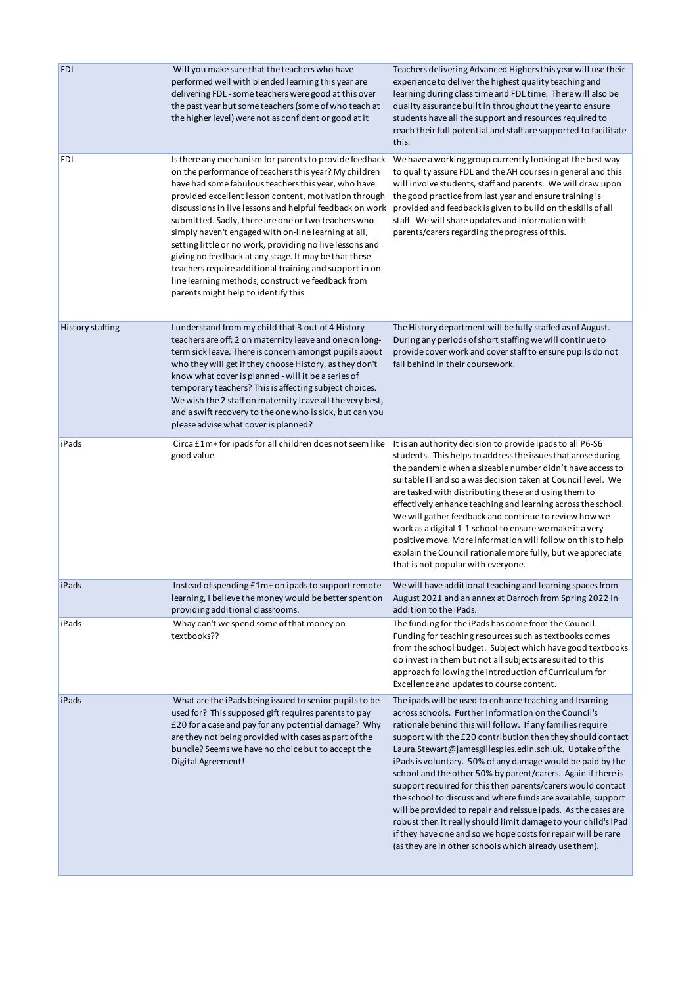| <b>FDL</b>       | Will you make sure that the teachers who have<br>performed well with blended learning this year are<br>delivering FDL - some teachers were good at this over<br>the past year but some teachers (some of who teach at<br>the higher level) were not as confident or good at it                                                                                                                                                                                                                                                                                                                                                                                                         | Teachers delivering Advanced Highers this year will use their<br>experience to deliver the highest quality teaching and<br>learning during class time and FDL time. There will also be<br>quality assurance built in throughout the year to ensure<br>students have all the support and resources required to<br>reach their full potential and staff are supported to facilitate<br>this.                                                                                                                                                                                                                                                                                                                                                                                                                                          |
|------------------|----------------------------------------------------------------------------------------------------------------------------------------------------------------------------------------------------------------------------------------------------------------------------------------------------------------------------------------------------------------------------------------------------------------------------------------------------------------------------------------------------------------------------------------------------------------------------------------------------------------------------------------------------------------------------------------|-------------------------------------------------------------------------------------------------------------------------------------------------------------------------------------------------------------------------------------------------------------------------------------------------------------------------------------------------------------------------------------------------------------------------------------------------------------------------------------------------------------------------------------------------------------------------------------------------------------------------------------------------------------------------------------------------------------------------------------------------------------------------------------------------------------------------------------|
| <b>FDL</b>       | Is there any mechanism for parents to provide feedback<br>on the performance of teachers this year? My children<br>have had some fabulous teachers this year, who have<br>provided excellent lesson content, motivation through<br>discussions in live lessons and helpful feedback on work<br>submitted. Sadly, there are one or two teachers who<br>simply haven't engaged with on-line learning at all,<br>setting little or no work, providing no live lessons and<br>giving no feedback at any stage. It may be that these<br>teachers require additional training and support in on-<br>line learning methods; constructive feedback from<br>parents might help to identify this | We have a working group currently looking at the best way<br>to quality assure FDL and the AH courses in general and this<br>will involve students, staff and parents. We will draw upon<br>the good practice from last year and ensure training is<br>provided and feedback is given to build on the skills of all<br>staff. We will share updates and information with<br>parents/carers regarding the progress of this.                                                                                                                                                                                                                                                                                                                                                                                                          |
| History staffing | I understand from my child that 3 out of 4 History<br>teachers are off; 2 on maternity leave and one on long-<br>term sick leave. There is concern amongst pupils about<br>who they will get if they choose History, as they don't<br>know what cover is planned - will it be a series of<br>temporary teachers? This is affecting subject choices.<br>We wish the 2 staff on maternity leave all the very best,<br>and a swift recovery to the one who is sick, but can you<br>please advise what cover is planned?                                                                                                                                                                   | The History department will be fully staffed as of August.<br>During any periods of short staffing we will continue to<br>provide cover work and cover staff to ensure pupils do not<br>fall behind in their coursework.                                                                                                                                                                                                                                                                                                                                                                                                                                                                                                                                                                                                            |
| iPads            | Circa £1m+ for ipads for all children does not seem like It is an authority decision to provide ipads to all P6-S6<br>good value.                                                                                                                                                                                                                                                                                                                                                                                                                                                                                                                                                      | students. This helps to address the issues that arose during<br>the pandemic when a sizeable number didn't have access to<br>suitable IT and so a was decision taken at Council level. We<br>are tasked with distributing these and using them to<br>effectively enhance teaching and learning across the school.<br>We will gather feedback and continue to review how we<br>work as a digital 1-1 school to ensure we make it a very<br>positive move. More information will follow on this to help<br>explain the Council rationale more fully, but we appreciate<br>that is not popular with everyone.                                                                                                                                                                                                                          |
| iPads            | Instead of spending £1m+ on ipads to support remote<br>learning, I believe the money would be better spent on<br>providing additional classrooms.                                                                                                                                                                                                                                                                                                                                                                                                                                                                                                                                      | We will have additional teaching and learning spaces from<br>August 2021 and an annex at Darroch from Spring 2022 in<br>addition to the iPads.                                                                                                                                                                                                                                                                                                                                                                                                                                                                                                                                                                                                                                                                                      |
| iPads            | Whay can't we spend some of that money on<br>textbooks??                                                                                                                                                                                                                                                                                                                                                                                                                                                                                                                                                                                                                               | The funding for the iPads has come from the Council.<br>Funding for teaching resources such as textbooks comes<br>from the school budget. Subject which have good textbooks<br>do invest in them but not all subjects are suited to this<br>approach following the introduction of Curriculum for<br>Excellence and updates to course content.                                                                                                                                                                                                                                                                                                                                                                                                                                                                                      |
| iPads            | What are the iPads being issued to senior pupils to be<br>used for? This supposed gift requires parents to pay<br>£20 for a case and pay for any potential damage? Why<br>are they not being provided with cases as part of the<br>bundle? Seems we have no choice but to accept the<br>Digital Agreement!                                                                                                                                                                                                                                                                                                                                                                             | The ipads will be used to enhance teaching and learning<br>across schools. Further information on the Council's<br>rationale behind this will follow. If any families require<br>support with the £20 contribution then they should contact<br>Laura.Stewart@jamesgillespies.edin.sch.uk. Uptake of the<br>iPads is voluntary. 50% of any damage would be paid by the<br>school and the other 50% by parent/carers. Again if there is<br>support required for this then parents/carers would contact<br>the school to discuss and where funds are available, support<br>will be provided to repair and reissue ipads. As the cases are<br>robust then it really should limit damage to your child's iPad<br>if they have one and so we hope costs for repair will be rare<br>(as they are in other schools which already use them). |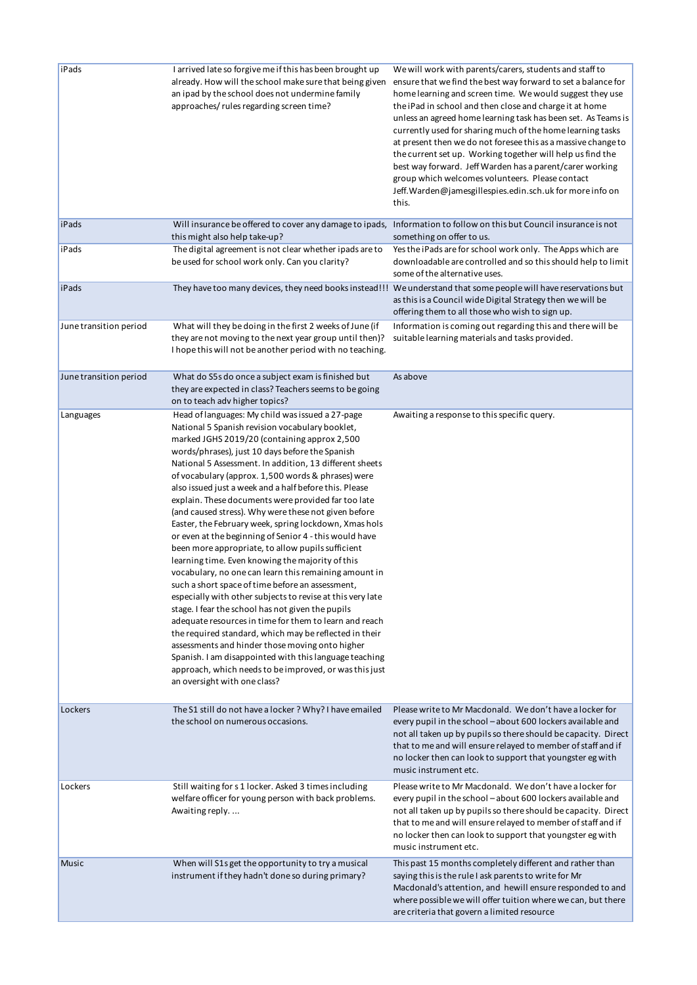| iPads                  | I arrived late so forgive me if this has been brought up<br>already. How will the school make sure that being given<br>an ipad by the school does not undermine family<br>approaches/ rules regarding screen time?                                                                                                                                                                                                                                                                                                                                                                                                                                                                                                                                                                                                                                                                                                                                                                                                                                                                                                                                                                                                                                                                      | We will work with parents/carers, students and staff to<br>ensure that we find the best way forward to set a balance for<br>home learning and screen time. We would suggest they use<br>the iPad in school and then close and charge it at home<br>unless an agreed home learning task has been set. As Teams is<br>currently used for sharing much of the home learning tasks<br>at present then we do not foresee this as a massive change to<br>the current set up. Working together will help us find the<br>best way forward. Jeff Warden has a parent/carer working<br>group which welcomes volunteers. Please contact<br>Jeff. Warden@jamesgillespies.edin.sch.uk for more info on<br>this. |
|------------------------|-----------------------------------------------------------------------------------------------------------------------------------------------------------------------------------------------------------------------------------------------------------------------------------------------------------------------------------------------------------------------------------------------------------------------------------------------------------------------------------------------------------------------------------------------------------------------------------------------------------------------------------------------------------------------------------------------------------------------------------------------------------------------------------------------------------------------------------------------------------------------------------------------------------------------------------------------------------------------------------------------------------------------------------------------------------------------------------------------------------------------------------------------------------------------------------------------------------------------------------------------------------------------------------------|----------------------------------------------------------------------------------------------------------------------------------------------------------------------------------------------------------------------------------------------------------------------------------------------------------------------------------------------------------------------------------------------------------------------------------------------------------------------------------------------------------------------------------------------------------------------------------------------------------------------------------------------------------------------------------------------------|
| iPads                  | Will insurance be offered to cover any damage to ipads,<br>this might also help take-up?                                                                                                                                                                                                                                                                                                                                                                                                                                                                                                                                                                                                                                                                                                                                                                                                                                                                                                                                                                                                                                                                                                                                                                                                | Information to follow on this but Council insurance is not<br>something on offer to us.                                                                                                                                                                                                                                                                                                                                                                                                                                                                                                                                                                                                            |
| iPads                  | The digital agreement is not clear whether ipads are to<br>be used for school work only. Can you clarity?                                                                                                                                                                                                                                                                                                                                                                                                                                                                                                                                                                                                                                                                                                                                                                                                                                                                                                                                                                                                                                                                                                                                                                               | Yes the iPads are for school work only. The Apps which are<br>downloadable are controlled and so this should help to limit<br>some of the alternative uses.                                                                                                                                                                                                                                                                                                                                                                                                                                                                                                                                        |
| iPads                  |                                                                                                                                                                                                                                                                                                                                                                                                                                                                                                                                                                                                                                                                                                                                                                                                                                                                                                                                                                                                                                                                                                                                                                                                                                                                                         | They have too many devices, they need books instead!!! We understand that some people will have reservations but<br>as this is a Council wide Digital Strategy then we will be<br>offering them to all those who wish to sign up.                                                                                                                                                                                                                                                                                                                                                                                                                                                                  |
| June transition period | What will they be doing in the first 2 weeks of June (if<br>they are not moving to the next year group until then)?<br>I hope this will not be another period with no teaching.                                                                                                                                                                                                                                                                                                                                                                                                                                                                                                                                                                                                                                                                                                                                                                                                                                                                                                                                                                                                                                                                                                         | Information is coming out regarding this and there will be<br>suitable learning materials and tasks provided.                                                                                                                                                                                                                                                                                                                                                                                                                                                                                                                                                                                      |
| June transition period | What do S5s do once a subject exam is finished but<br>they are expected in class? Teachers seems to be going<br>on to teach adv higher topics?                                                                                                                                                                                                                                                                                                                                                                                                                                                                                                                                                                                                                                                                                                                                                                                                                                                                                                                                                                                                                                                                                                                                          | As above                                                                                                                                                                                                                                                                                                                                                                                                                                                                                                                                                                                                                                                                                           |
| Languages              | Head of languages: My child was issued a 27-page<br>National 5 Spanish revision vocabulary booklet,<br>marked JGHS 2019/20 (containing approx 2,500<br>words/phrases), just 10 days before the Spanish<br>National 5 Assessment. In addition, 13 different sheets<br>of vocabulary (approx. 1,500 words & phrases) were<br>also issued just a week and a half before this. Please<br>explain. These documents were provided far too late<br>(and caused stress). Why were these not given before<br>Easter, the February week, spring lockdown, Xmas hols<br>or even at the beginning of Senior 4 - this would have<br>been more appropriate, to allow pupils sufficient<br>learning time. Even knowing the majority of this<br>vocabulary, no one can learn this remaining amount in<br>such a short space of time before an assessment,<br>especially with other subjects to revise at this very late<br>stage. I fear the school has not given the pupils<br>adequate resources in time for them to learn and reach<br>the required standard, which may be reflected in their<br>assessments and hinder those moving onto higher<br>Spanish. I am disappointed with this language teaching<br>approach, which needs to be improved, or was this just<br>an oversight with one class? | Awaiting a response to this specific query.                                                                                                                                                                                                                                                                                                                                                                                                                                                                                                                                                                                                                                                        |
| Lockers                | The S1 still do not have a locker ? Why? I have emailed<br>the school on numerous occasions.                                                                                                                                                                                                                                                                                                                                                                                                                                                                                                                                                                                                                                                                                                                                                                                                                                                                                                                                                                                                                                                                                                                                                                                            | Please write to Mr Macdonald. We don't have a locker for<br>every pupil in the school - about 600 lockers available and<br>not all taken up by pupils so there should be capacity. Direct<br>that to me and will ensure relayed to member of staff and if<br>no locker then can look to support that youngster eg with<br>music instrument etc.                                                                                                                                                                                                                                                                                                                                                    |
| Lockers                | Still waiting for s1 locker. Asked 3 times including<br>welfare officer for young person with back problems.<br>Awaiting reply                                                                                                                                                                                                                                                                                                                                                                                                                                                                                                                                                                                                                                                                                                                                                                                                                                                                                                                                                                                                                                                                                                                                                          | Please write to Mr Macdonald. We don't have a locker for<br>every pupil in the school - about 600 lockers available and<br>not all taken up by pupils so there should be capacity. Direct<br>that to me and will ensure relayed to member of staff and if<br>no locker then can look to support that youngster eg with<br>music instrument etc.                                                                                                                                                                                                                                                                                                                                                    |
| <b>Music</b>           | When will S1s get the opportunity to try a musical<br>instrument if they hadn't done so during primary?                                                                                                                                                                                                                                                                                                                                                                                                                                                                                                                                                                                                                                                                                                                                                                                                                                                                                                                                                                                                                                                                                                                                                                                 | This past 15 months completely different and rather than<br>saying this is the rule I ask parents to write for Mr<br>Macdonald's attention, and hewill ensure responded to and<br>where possible we will offer tuition where we can, but there<br>are criteria that govern a limited resource                                                                                                                                                                                                                                                                                                                                                                                                      |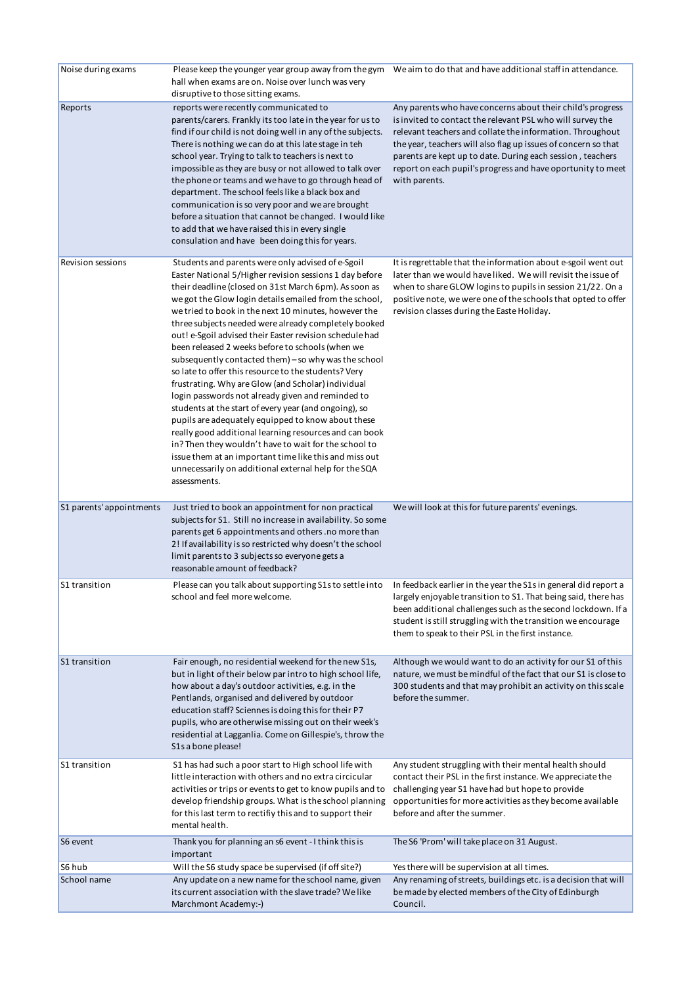| Noise during exams       | hall when exams are on. Noise over lunch was very<br>disruptive to those sitting exams.                                                                                                                                                                                                                                                                                                                                                                                                                                                                                                                                                                                                                                                                                                                                                                                                                                                                                                                                                                        | Please keep the younger year group away from the gym We aim to do that and have additional staff in attendance.                                                                                                                                                                                                                                                                                       |
|--------------------------|----------------------------------------------------------------------------------------------------------------------------------------------------------------------------------------------------------------------------------------------------------------------------------------------------------------------------------------------------------------------------------------------------------------------------------------------------------------------------------------------------------------------------------------------------------------------------------------------------------------------------------------------------------------------------------------------------------------------------------------------------------------------------------------------------------------------------------------------------------------------------------------------------------------------------------------------------------------------------------------------------------------------------------------------------------------|-------------------------------------------------------------------------------------------------------------------------------------------------------------------------------------------------------------------------------------------------------------------------------------------------------------------------------------------------------------------------------------------------------|
| Reports                  | reports were recently communicated to<br>parents/carers. Frankly its too late in the year for us to<br>find if our child is not doing well in any of the subjects.<br>There is nothing we can do at this late stage in teh<br>school year. Trying to talk to teachers is next to<br>impossible as they are busy or not allowed to talk over<br>the phone or teams and we have to go through head of<br>department. The school feels like a black box and<br>communication is so very poor and we are brought<br>before a situation that cannot be changed. I would like<br>to add that we have raised this in every single<br>consulation and have been doing this for years.                                                                                                                                                                                                                                                                                                                                                                                  | Any parents who have concerns about their child's progress<br>is invited to contact the relevant PSL who will survey the<br>relevant teachers and collate the information. Throughout<br>the year, teachers will also flag up issues of concern so that<br>parents are kept up to date. During each session, teachers<br>report on each pupil's progress and have oportunity to meet<br>with parents. |
| Revision sessions        | Students and parents were only advised of e-Sgoil<br>Easter National 5/Higher revision sessions 1 day before<br>their deadline (closed on 31st March 6pm). As soon as<br>we got the Glow login details emailed from the school,<br>we tried to book in the next 10 minutes, however the<br>three subjects needed were already completely booked<br>out! e-Sgoil advised their Easter revision schedule had<br>been released 2 weeks before to schools (when we<br>subsequently contacted them) – so why was the school<br>so late to offer this resource to the students? Very<br>frustrating. Why are Glow (and Scholar) individual<br>login passwords not already given and reminded to<br>students at the start of every year (and ongoing), so<br>pupils are adequately equipped to know about these<br>really good additional learning resources and can book<br>in? Then they wouldn't have to wait for the school to<br>issue them at an important time like this and miss out<br>unnecessarily on additional external help for the SQA<br>assessments. | It is regrettable that the information about e-sgoil went out<br>later than we would have liked. We will revisit the issue of<br>when to share GLOW logins to pupils in session 21/22. On a<br>positive note, we were one of the schools that opted to offer<br>revision classes during the Easte Holiday.                                                                                            |
| S1 parents' appointments | Just tried to book an appointment for non practical<br>subjects for S1. Still no increase in availability. So some<br>parents get 6 appointments and others .no more than<br>2! If availability is so restricted why doesn't the school<br>limit parents to 3 subjects so everyone gets a<br>reasonable amount of feedback?                                                                                                                                                                                                                                                                                                                                                                                                                                                                                                                                                                                                                                                                                                                                    | We will look at this for future parents' evenings.                                                                                                                                                                                                                                                                                                                                                    |
| S1 transition            | Please can you talk about supporting S1s to settle into<br>school and feel more welcome.                                                                                                                                                                                                                                                                                                                                                                                                                                                                                                                                                                                                                                                                                                                                                                                                                                                                                                                                                                       | In feedback earlier in the year the S1s in general did report a<br>largely enjoyable transition to S1. That being said, there has<br>been additional challenges such as the second lockdown. If a<br>student is still struggling with the transition we encourage<br>them to speak to their PSL in the first instance.                                                                                |
| S1 transition            | Fair enough, no residential weekend for the new S1s,<br>but in light of their below par intro to high school life,<br>how about a day's outdoor activities, e.g. in the<br>Pentlands, organised and delivered by outdoor<br>education staff? Sciennes is doing this for their P7<br>pupils, who are otherwise missing out on their week's<br>residential at Lagganlia. Come on Gillespie's, throw the<br>S1s a bone please!                                                                                                                                                                                                                                                                                                                                                                                                                                                                                                                                                                                                                                    | Although we would want to do an activity for our S1 of this<br>nature, we must be mindful of the fact that our S1 is close to<br>300 students and that may prohibit an activity on this scale<br>before the summer.                                                                                                                                                                                   |
| S1 transition            | S1 has had such a poor start to High school life with<br>little interaction with others and no extra circicular<br>activities or trips or events to get to know pupils and to<br>develop friendship groups. What is the school planning<br>for this last term to rectifiy this and to support their<br>mental health.                                                                                                                                                                                                                                                                                                                                                                                                                                                                                                                                                                                                                                                                                                                                          | Any student struggling with their mental health should<br>contact their PSL in the first instance. We appreciate the<br>challenging year S1 have had but hope to provide<br>opportunities for more activities as they become available<br>before and after the summer.                                                                                                                                |
| S6 event                 | Thank you for planning an s6 event - I think this is<br>important                                                                                                                                                                                                                                                                                                                                                                                                                                                                                                                                                                                                                                                                                                                                                                                                                                                                                                                                                                                              | The S6 'Prom' will take place on 31 August.                                                                                                                                                                                                                                                                                                                                                           |
| S6 hub                   | Will the S6 study space be supervised (if off site?)                                                                                                                                                                                                                                                                                                                                                                                                                                                                                                                                                                                                                                                                                                                                                                                                                                                                                                                                                                                                           | Yes there will be supervision at all times.                                                                                                                                                                                                                                                                                                                                                           |
| School name              | Any update on a new name for the school name, given<br>its current association with the slave trade? We like<br>Marchmont Academy:-)                                                                                                                                                                                                                                                                                                                                                                                                                                                                                                                                                                                                                                                                                                                                                                                                                                                                                                                           | Any renaming of streets, buildings etc. is a decision that will<br>be made by elected members of the City of Edinburgh<br>Council.                                                                                                                                                                                                                                                                    |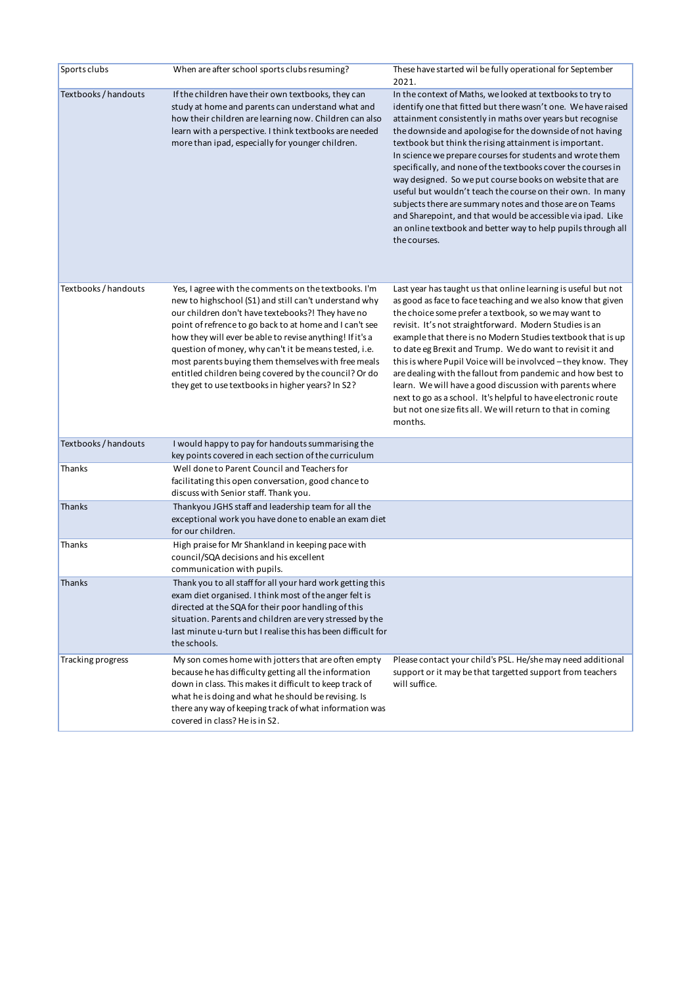| Sports clubs         | When are after school sports clubs resuming?                                                                                                                                                                                                                                                                                                                                                                                                                                                                            | These have started wil be fully operational for September<br>2021.                                                                                                                                                                                                                                                                                                                                                                                                                                                                                                                                                                                                                                                                                                              |
|----------------------|-------------------------------------------------------------------------------------------------------------------------------------------------------------------------------------------------------------------------------------------------------------------------------------------------------------------------------------------------------------------------------------------------------------------------------------------------------------------------------------------------------------------------|---------------------------------------------------------------------------------------------------------------------------------------------------------------------------------------------------------------------------------------------------------------------------------------------------------------------------------------------------------------------------------------------------------------------------------------------------------------------------------------------------------------------------------------------------------------------------------------------------------------------------------------------------------------------------------------------------------------------------------------------------------------------------------|
| Textbooks / handouts | If the children have their own textbooks, they can<br>study at home and parents can understand what and<br>how their children are learning now. Children can also<br>learn with a perspective. I think textbooks are needed<br>more than ipad, especially for younger children.                                                                                                                                                                                                                                         | In the context of Maths, we looked at textbooks to try to<br>identify one that fitted but there wasn't one. We have raised<br>attainment consistently in maths over years but recognise<br>the downside and apologise for the downside of not having<br>textbook but think the rising attainment is important.<br>In science we prepare courses for students and wrote them<br>specifically, and none of the textbooks cover the courses in<br>way designed. So we put course books on website that are<br>useful but wouldn't teach the course on their own. In many<br>subjects there are summary notes and those are on Teams<br>and Sharepoint, and that would be accessible via ipad. Like<br>an online textbook and better way to help pupils through all<br>the courses. |
| Textbooks / handouts | Yes, I agree with the comments on the textbooks. I'm<br>new to highschool (S1) and still can't understand why<br>our children don't have textebooks?! They have no<br>point of refrence to go back to at home and I can't see<br>how they will ever be able to revise anything! If it's a<br>question of money, why can't it be means tested, i.e.<br>most parents buying them themselves with free meals<br>entitled children being covered by the council? Or do<br>they get to use textbooks in higher years? In S2? | Last year has taught us that online learning is useful but not<br>as good as face to face teaching and we also know that given<br>the choice some prefer a textbook, so we may want to<br>revisit. It's not straightforward. Modern Studies is an<br>example that there is no Modern Studies textbook that is up<br>to date eg Brexit and Trump. We do want to revisit it and<br>this is where Pupil Voice will be involvced - they know. They<br>are dealing with the fallout from pandemic and how best to<br>learn. We will have a good discussion with parents where<br>next to go as a school. It's helpful to have electronic route<br>but not one size fits all. We will return to that in coming<br>months.                                                             |
| Textbooks / handouts | I would happy to pay for handouts summarising the<br>key points covered in each section of the curriculum                                                                                                                                                                                                                                                                                                                                                                                                               |                                                                                                                                                                                                                                                                                                                                                                                                                                                                                                                                                                                                                                                                                                                                                                                 |
| Thanks               | Well done to Parent Council and Teachers for<br>facilitating this open conversation, good chance to<br>discuss with Senior staff. Thank you.                                                                                                                                                                                                                                                                                                                                                                            |                                                                                                                                                                                                                                                                                                                                                                                                                                                                                                                                                                                                                                                                                                                                                                                 |
| Thanks               | Thankyou JGHS staff and leadership team for all the<br>exceptional work you have done to enable an exam diet<br>for our children.                                                                                                                                                                                                                                                                                                                                                                                       |                                                                                                                                                                                                                                                                                                                                                                                                                                                                                                                                                                                                                                                                                                                                                                                 |
| Thanks               | High praise for Mr Shankland in keeping pace with<br>council/SQA decisions and his excellent<br>communication with pupils.                                                                                                                                                                                                                                                                                                                                                                                              |                                                                                                                                                                                                                                                                                                                                                                                                                                                                                                                                                                                                                                                                                                                                                                                 |
| Thanks               | Thank you to all staff for all your hard work getting this<br>exam diet organised. I think most of the anger felt is<br>directed at the SQA for their poor handling of this<br>situation. Parents and children are very stressed by the<br>last minute u-turn but I realise this has been difficult for<br>the schools.                                                                                                                                                                                                 |                                                                                                                                                                                                                                                                                                                                                                                                                                                                                                                                                                                                                                                                                                                                                                                 |
| Tracking progress    | My son comes home with jotters that are often empty<br>because he has difficulty getting all the information<br>down in class. This makes it difficult to keep track of<br>what he is doing and what he should be revising. Is<br>there any way of keeping track of what information was<br>covered in class? He is in S2.                                                                                                                                                                                              | Please contact your child's PSL. He/she may need additional<br>support or it may be that targetted support from teachers<br>will suffice.                                                                                                                                                                                                                                                                                                                                                                                                                                                                                                                                                                                                                                       |